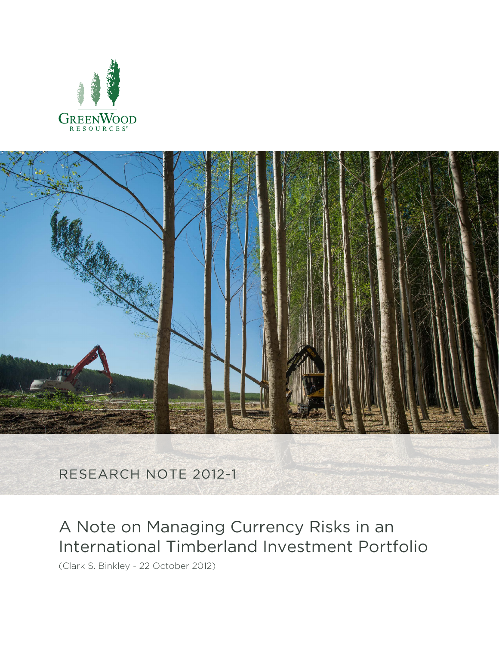



RESEARCH NOTE 2012-1

# A Note on Managing Currency Risks in an International Timberland Investment Portfolio

(Clark S. Binkley - 22 October 2012)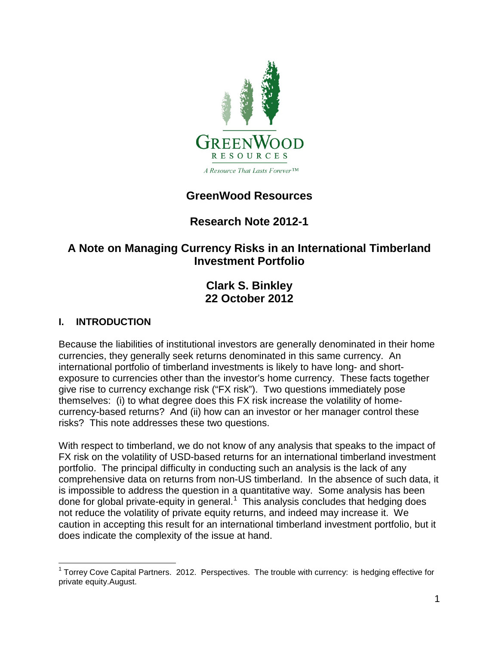

# **GreenWood Resources**

# **Research Note 2012-1**

# **A Note on Managing Currency Risks in an International Timberland Investment Portfolio**

# **Clark S. Binkley 22 October 2012**

## **I. INTRODUCTION**

Because the liabilities of institutional investors are generally denominated in their home currencies, they generally seek returns denominated in this same currency. An international portfolio of timberland investments is likely to have long- and shortexposure to currencies other than the investor's home currency. These facts together give rise to currency exchange risk ("FX risk"). Two questions immediately pose themselves: (i) to what degree does this FX risk increase the volatility of homecurrency-based returns? And (ii) how can an investor or her manager control these risks? This note addresses these two questions.

With respect to timberland, we do not know of any analysis that speaks to the impact of FX risk on the volatility of USD-based returns for an international timberland investment portfolio. The principal difficulty in conducting such an analysis is the lack of any comprehensive data on returns from non-US timberland. In the absence of such data, it is impossible to address the question in a quantitative way. Some analysis has been done for global private-equity in general.<sup>[1](#page-1-0)</sup> This analysis concludes that hedging does not reduce the volatility of private equity returns, and indeed may increase it. We caution in accepting this result for an international timberland investment portfolio, but it does indicate the complexity of the issue at hand.

<span id="page-1-0"></span> $1$  Torrey Cove Capital Partners. 2012. Perspectives. The trouble with currency: is hedging effective for private equity.August.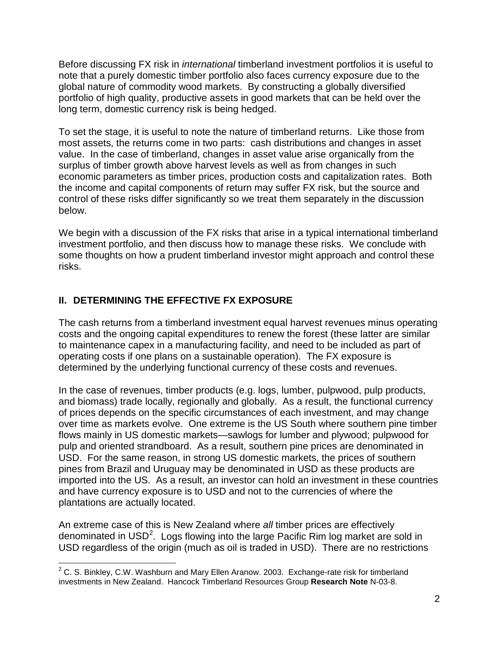Before discussing FX risk in *international* timberland investment portfolios it is useful to note that a purely domestic timber portfolio also faces currency exposure due to the global nature of commodity wood markets. By constructing a globally diversified portfolio of high quality, productive assets in good markets that can be held over the long term, domestic currency risk is being hedged.

To set the stage, it is useful to note the nature of timberland returns. Like those from most assets, the returns come in two parts: cash distributions and changes in asset value. In the case of timberland, changes in asset value arise organically from the surplus of timber growth above harvest levels as well as from changes in such economic parameters as timber prices, production costs and capitalization rates. Both the income and capital components of return may suffer FX risk, but the source and control of these risks differ significantly so we treat them separately in the discussion below.

We begin with a discussion of the FX risks that arise in a typical international timberland investment portfolio, and then discuss how to manage these risks. We conclude with some thoughts on how a prudent timberland investor might approach and control these risks.

## **II. DETERMINING THE EFFECTIVE FX EXPOSURE**

The cash returns from a timberland investment equal harvest revenues minus operating costs and the ongoing capital expenditures to renew the forest (these latter are similar to maintenance capex in a manufacturing facility, and need to be included as part of operating costs if one plans on a sustainable operation). The FX exposure is determined by the underlying functional currency of these costs and revenues.

In the case of revenues, timber products (e.g. logs, lumber, pulpwood, pulp products, and biomass) trade locally, regionally and globally. As a result, the functional currency of prices depends on the specific circumstances of each investment, and may change over time as markets evolve. One extreme is the US South where southern pine timber flows mainly in US domestic markets—sawlogs for lumber and plywood; pulpwood for pulp and oriented strandboard. As a result, southern pine prices are denominated in USD. For the same reason, in strong US domestic markets, the prices of southern pines from Brazil and Uruguay may be denominated in USD as these products are imported into the US. As a result, an investor can hold an investment in these countries and have currency exposure is to USD and not to the currencies of where the plantations are actually located.

An extreme case of this is New Zealand where *all* timber prices are effectively denominated in USD<sup>[2](#page-2-0)</sup>. Logs flowing into the large Pacific Rim log market are sold in USD regardless of the origin (much as oil is traded in USD). There are no restrictions

<span id="page-2-0"></span> $2^2$  C. S. Binkley, C.W. Washburn and Mary Ellen Aranow. 2003. Exchange-rate risk for timberland investments in New Zealand. Hancock Timberland Resources Group **Research Note** N-03-8.  $\overline{a}$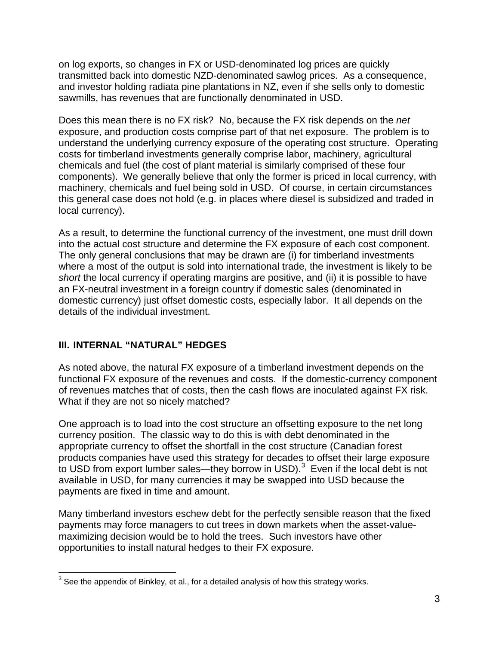on log exports, so changes in FX or USD-denominated log prices are quickly transmitted back into domestic NZD-denominated sawlog prices. As a consequence, and investor holding radiata pine plantations in NZ, even if she sells only to domestic sawmills, has revenues that are functionally denominated in USD.

Does this mean there is no FX risk? No, because the FX risk depends on the *net* exposure, and production costs comprise part of that net exposure. The problem is to understand the underlying currency exposure of the operating cost structure. Operating costs for timberland investments generally comprise labor, machinery, agricultural chemicals and fuel (the cost of plant material is similarly comprised of these four components). We generally believe that only the former is priced in local currency, with machinery, chemicals and fuel being sold in USD. Of course, in certain circumstances this general case does not hold (e.g. in places where diesel is subsidized and traded in local currency).

As a result, to determine the functional currency of the investment, one must drill down into the actual cost structure and determine the FX exposure of each cost component. The only general conclusions that may be drawn are (i) for timberland investments where a most of the output is sold into international trade, the investment is likely to be *short* the local currency if operating margins are positive, and (ii) it is possible to have an FX-neutral investment in a foreign country if domestic sales (denominated in domestic currency) just offset domestic costs, especially labor. It all depends on the details of the individual investment.

#### **III. INTERNAL "NATURAL" HEDGES**

As noted above, the natural FX exposure of a timberland investment depends on the functional FX exposure of the revenues and costs. If the domestic-currency component of revenues matches that of costs, then the cash flows are inoculated against FX risk. What if they are not so nicely matched?

One approach is to load into the cost structure an offsetting exposure to the net long currency position. The classic way to do this is with debt denominated in the appropriate currency to offset the shortfall in the cost structure (Canadian forest products companies have used this strategy for decades to offset their large exposure to USD from export lumber sales—they borrow in USD). $3$  Even if the local debt is not available in USD, for many currencies it may be swapped into USD because the payments are fixed in time and amount.

Many timberland investors eschew debt for the perfectly sensible reason that the fixed payments may force managers to cut trees in down markets when the asset-valuemaximizing decision would be to hold the trees. Such investors have other opportunities to install natural hedges to their FX exposure.

<span id="page-3-0"></span> $^3$  See the appendix of Binkley, et al., for a detailed analysis of how this strategy works.  $\overline{a}$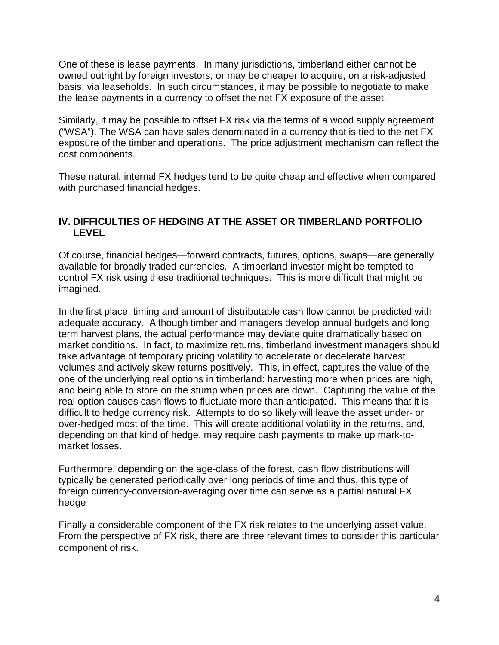One of these is lease payments. In many jurisdictions, timberland either cannot be owned outright by foreign investors, or may be cheaper to acquire, on a risk-adjusted basis, via leaseholds. In such circumstances, it may be possible to negotiate to make the lease payments in a currency to offset the net FX exposure of the asset.

Similarly, it may be possible to offset FX risk via the terms of a wood supply agreement ("WSA"). The WSA can have sales denominated in a currency that is tied to the net FX exposure of the timberland operations. The price adjustment mechanism can reflect the cost components.

These natural, internal FX hedges tend to be quite cheap and effective when compared with purchased financial hedges.

#### **IV. DIFFICULTIES OF HEDGING AT THE ASSET OR TIMBERLAND PORTFOLIO LEVEL**

Of course, financial hedges—forward contracts, futures, options, swaps—are generally available for broadly traded currencies. A timberland investor might be tempted to control FX risk using these traditional techniques. This is more difficult that might be imagined.

In the first place, timing and amount of distributable cash flow cannot be predicted with adequate accuracy. Although timberland managers develop annual budgets and long term harvest plans, the actual performance may deviate quite dramatically based on market conditions. In fact, to maximize returns, timberland investment managers should take advantage of temporary pricing volatility to accelerate or decelerate harvest volumes and actively skew returns positively. This, in effect, captures the value of the one of the underlying real options in timberland: harvesting more when prices are high, and being able to store on the stump when prices are down. Capturing the value of the real option causes cash flows to fluctuate more than anticipated. This means that it is difficult to hedge currency risk. Attempts to do so likely will leave the asset under- or over-hedged most of the time. This will create additional volatility in the returns, and, depending on that kind of hedge, may require cash payments to make up mark-tomarket losses.

Furthermore, depending on the age-class of the forest, cash flow distributions will typically be generated periodically over long periods of time and thus, this type of foreign currency-conversion-averaging over time can serve as a partial natural FX hedge

Finally a considerable component of the FX risk relates to the underlying asset value. From the perspective of FX risk, there are three relevant times to consider this particular component of risk.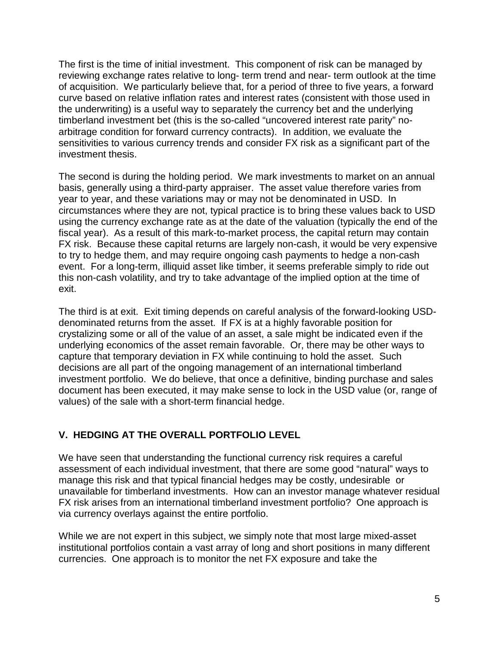The first is the time of initial investment. This component of risk can be managed by reviewing exchange rates relative to long- term trend and near- term outlook at the time of acquisition. We particularly believe that, for a period of three to five years, a forward curve based on relative inflation rates and interest rates (consistent with those used in the underwriting) is a useful way to separately the currency bet and the underlying timberland investment bet (this is the so-called "uncovered interest rate parity" noarbitrage condition for forward currency contracts). In addition, we evaluate the sensitivities to various currency trends and consider FX risk as a significant part of the investment thesis.

The second is during the holding period. We mark investments to market on an annual basis, generally using a third-party appraiser. The asset value therefore varies from year to year, and these variations may or may not be denominated in USD. In circumstances where they are not, typical practice is to bring these values back to USD using the currency exchange rate as at the date of the valuation (typically the end of the fiscal year). As a result of this mark-to-market process, the capital return may contain FX risk. Because these capital returns are largely non-cash, it would be very expensive to try to hedge them, and may require ongoing cash payments to hedge a non-cash event. For a long-term, illiquid asset like timber, it seems preferable simply to ride out this non-cash volatility, and try to take advantage of the implied option at the time of exit.

The third is at exit. Exit timing depends on careful analysis of the forward-looking USDdenominated returns from the asset. If FX is at a highly favorable position for crystalizing some or all of the value of an asset, a sale might be indicated even if the underlying economics of the asset remain favorable. Or, there may be other ways to capture that temporary deviation in FX while continuing to hold the asset. Such decisions are all part of the ongoing management of an international timberland investment portfolio. We do believe, that once a definitive, binding purchase and sales document has been executed, it may make sense to lock in the USD value (or, range of values) of the sale with a short-term financial hedge.

#### **V. HEDGING AT THE OVERALL PORTFOLIO LEVEL**

We have seen that understanding the functional currency risk requires a careful assessment of each individual investment, that there are some good "natural" ways to manage this risk and that typical financial hedges may be costly, undesirable or unavailable for timberland investments. How can an investor manage whatever residual FX risk arises from an international timberland investment portfolio? One approach is via currency overlays against the entire portfolio.

While we are not expert in this subject, we simply note that most large mixed-asset institutional portfolios contain a vast array of long and short positions in many different currencies. One approach is to monitor the net FX exposure and take the